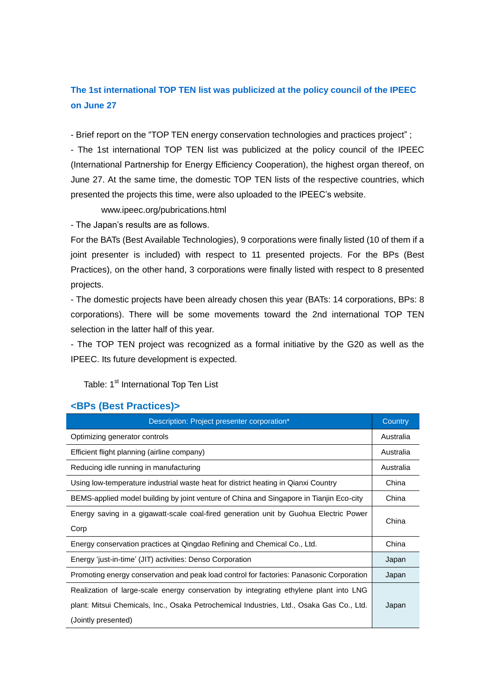## **The 1st international TOP TEN list was publicized at the policy council of the IPEEC on June 27**

- Brief report on the "TOP TEN energy conservation technologies and practices project" ;

- The 1st international TOP TEN list was publicized at the policy council of the IPEEC (International Partnership for Energy Efficiency Cooperation), the highest organ thereof, on June 27. At the same time, the domestic TOP TEN lists of the respective countries, which presented the projects this time, were also uploaded to the IPEEC's website.

www.ipeec.org/pubrications.html

- The Japan's results are as follows.

For the BATs (Best Available Technologies), 9 corporations were finally listed (10 of them if a joint presenter is included) with respect to 11 presented projects. For the BPs (Best Practices), on the other hand, 3 corporations were finally listed with respect to 8 presented projects.

- The domestic projects have been already chosen this year (BATs: 14 corporations, BPs: 8 corporations). There will be some movements toward the 2nd international TOP TEN selection in the latter half of this year.

- The TOP TEN project was recognized as a formal initiative by the G20 as well as the IPEEC. Its future development is expected.

Table: 1<sup>st</sup> International Top Ten List

## **<BPs (Best Practices)>**

| Description: Project presenter corporation*                                              | Country   |
|------------------------------------------------------------------------------------------|-----------|
| Optimizing generator controls                                                            | Australia |
| Efficient flight planning (airline company)                                              | Australia |
| Reducing idle running in manufacturing                                                   | Australia |
| Using low-temperature industrial waste heat for district heating in Qianxi Country       | China     |
| BEMS-applied model building by joint venture of China and Singapore in Tianjin Eco-city  | China     |
| Energy saving in a gigawatt-scale coal-fired generation unit by Guohua Electric Power    | China     |
| Corp                                                                                     |           |
| Energy conservation practices at Qingdao Refining and Chemical Co., Ltd.                 | China     |
| Energy 'just-in-time' (JIT) activities: Denso Corporation                                | Japan     |
| Promoting energy conservation and peak load control for factories: Panasonic Corporation | Japan     |
| Realization of large-scale energy conservation by integrating ethylene plant into LNG    |           |
| plant: Mitsui Chemicals, Inc., Osaka Petrochemical Industries, Ltd., Osaka Gas Co., Ltd. | Japan     |
| (Jointly presented)                                                                      |           |